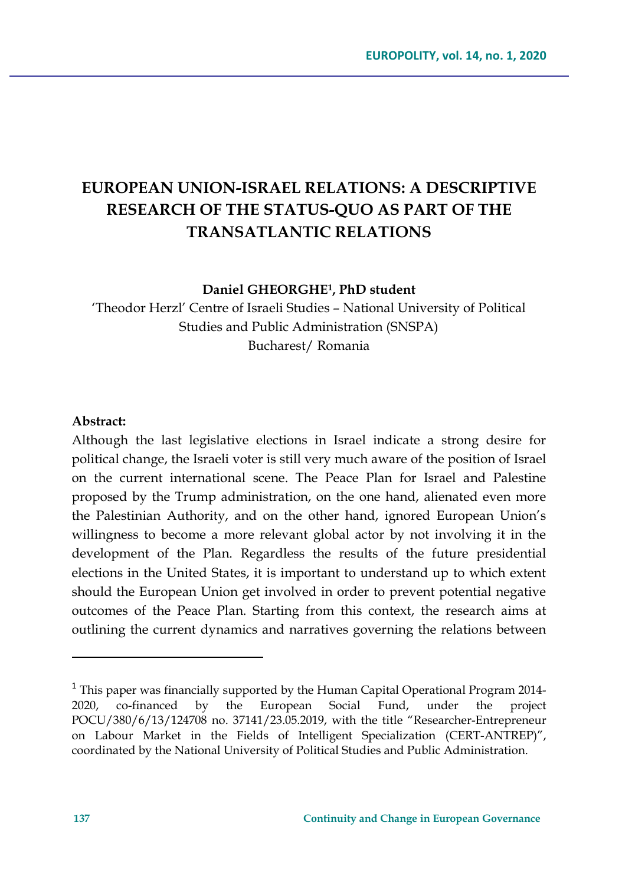# **EUROPEAN UNION-ISRAEL RELATIONS: A DESCRIPTIVE RESEARCH OF THE STATUS-QUO AS PART OF THE TRANSATLANTIC RELATIONS**

**Daniel GHEORGHE1, PhD student**

'Theodor Herzl' Centre of Israeli Studies – National University of Political Studies and Public Administration (SNSPA) Bucharest/ Romania

#### **Abstract:**

Although the last legislative elections in Israel indicate a strong desire for political change, the Israeli voter is still very much aware of the position of Israel on the current international scene. The Peace Plan for Israel and Palestine proposed by the Trump administration, on the one hand, alienated even more the Palestinian Authority, and on the other hand, ignored European Union's willingness to become a more relevant global actor by not involving it in the development of the Plan. Regardless the results of the future presidential elections in the United States, it is important to understand up to which extent should the European Union get involved in order to prevent potential negative outcomes of the Peace Plan. Starting from this context, the research aims at outlining the current dynamics and narratives governing the relations between

 $1$  This paper was financially supported by the Human Capital Operational Program 2014-2020, co-financed by the European Social Fund, under the project POCU/380/6/13/124708 no. 37141/23.05.2019, with the title "Researcher-Entrepreneur on Labour Market in the Fields of Intelligent Specialization (CERT-ANTREP)", coordinated by the National University of Political Studies and Public Administration.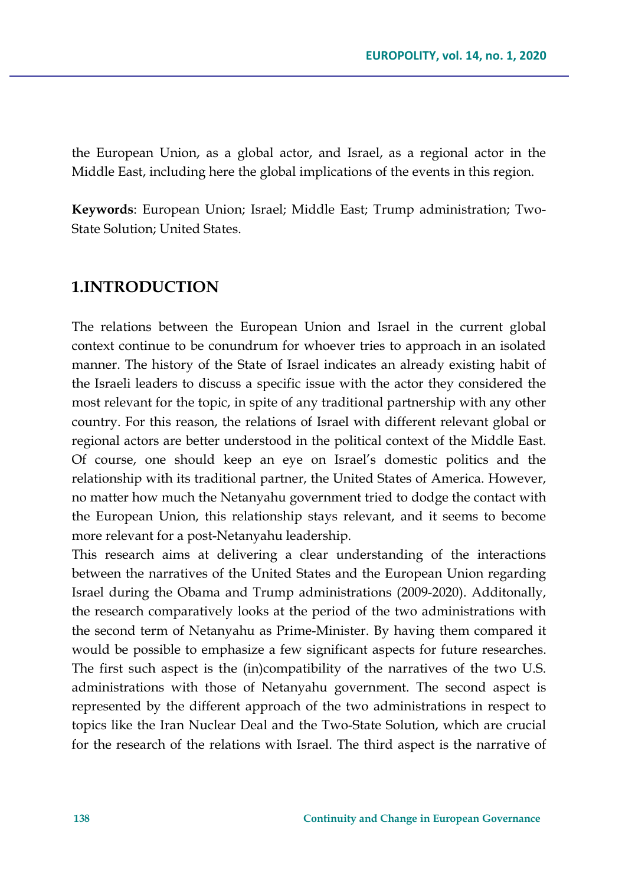the European Union, as a global actor, and Israel, as a regional actor in the Middle East, including here the global implications of the events in this region.

**Keywords**: European Union; Israel; Middle East; Trump administration; Two-State Solution; United States.

## **1.INTRODUCTION**

The relations between the European Union and Israel in the current global context continue to be conundrum for whoever tries to approach in an isolated manner. The history of the State of Israel indicates an already existing habit of the Israeli leaders to discuss a specific issue with the actor they considered the most relevant for the topic, in spite of any traditional partnership with any other country. For this reason, the relations of Israel with different relevant global or regional actors are better understood in the political context of the Middle East. Of course, one should keep an eye on Israel's domestic politics and the relationship with its traditional partner, the United States of America. However, no matter how much the Netanyahu government tried to dodge the contact with the European Union, this relationship stays relevant, and it seems to become more relevant for a post-Netanyahu leadership.

This research aims at delivering a clear understanding of the interactions between the narratives of the United States and the European Union regarding Israel during the Obama and Trump administrations (2009-2020). Additonally, the research comparatively looks at the period of the two administrations with the second term of Netanyahu as Prime-Minister. By having them compared it would be possible to emphasize a few significant aspects for future researches. The first such aspect is the (in)compatibility of the narratives of the two U.S. administrations with those of Netanyahu government. The second aspect is represented by the different approach of the two administrations in respect to topics like the Iran Nuclear Deal and the Two-State Solution, which are crucial for the research of the relations with Israel. The third aspect is the narrative of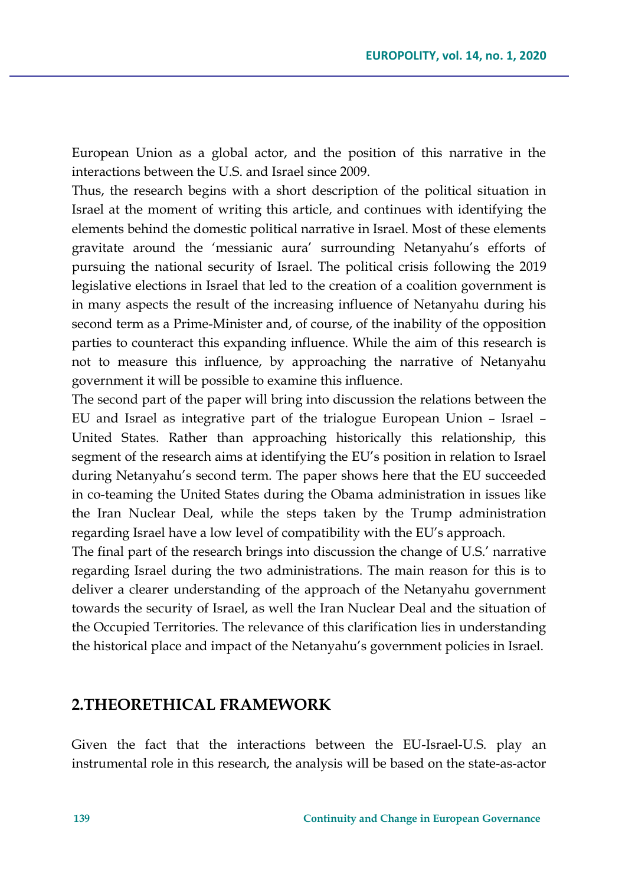European Union as a global actor, and the position of this narrative in the interactions between the U.S. and Israel since 2009.

Thus, the research begins with a short description of the political situation in Israel at the moment of writing this article, and continues with identifying the elements behind the domestic political narrative in Israel. Most of these elements gravitate around the 'messianic aura' surrounding Netanyahu's efforts of pursuing the national security of Israel. The political crisis following the 2019 legislative elections in Israel that led to the creation of a coalition government is in many aspects the result of the increasing influence of Netanyahu during his second term as a Prime-Minister and, of course, of the inability of the opposition parties to counteract this expanding influence. While the aim of this research is not to measure this influence, by approaching the narrative of Netanyahu government it will be possible to examine this influence.

The second part of the paper will bring into discussion the relations between the EU and Israel as integrative part of the trialogue European Union – Israel – United States. Rather than approaching historically this relationship, this segment of the research aims at identifying the EU's position in relation to Israel during Netanyahu's second term. The paper shows here that the EU succeeded in co-teaming the United States during the Obama administration in issues like the Iran Nuclear Deal, while the steps taken by the Trump administration regarding Israel have a low level of compatibility with the EU's approach.

The final part of the research brings into discussion the change of U.S.' narrative regarding Israel during the two administrations. The main reason for this is to deliver a clearer understanding of the approach of the Netanyahu government towards the security of Israel, as well the Iran Nuclear Deal and the situation of the Occupied Territories. The relevance of this clarification lies in understanding the historical place and impact of the Netanyahu's government policies in Israel.

### **2.THEORETHICAL FRAMEWORK**

Given the fact that the interactions between the EU-Israel-U.S. play an instrumental role in this research, the analysis will be based on the state-as-actor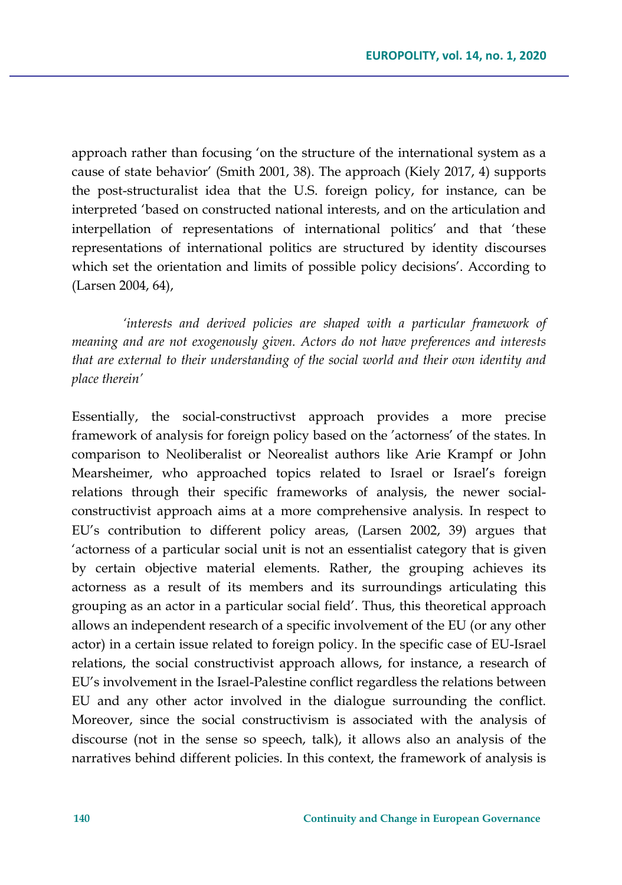approach rather than focusing 'on the structure of the international system as a cause of state behavior' (Smith 2001, 38). The approach (Kiely 2017, 4) supports the post-structuralist idea that the U.S. foreign policy, for instance, can be interpreted 'based on constructed national interests, and on the articulation and interpellation of representations of international politics' and that 'these representations of international politics are structured by identity discourses which set the orientation and limits of possible policy decisions'. According to (Larsen 2004, 64),

*'interests and derived policies are shaped with a particular framework of meaning and are not exogenously given. Actors do not have preferences and interests that are external to their understanding of the social world and their own identity and place therein'*

Essentially, the social-constructivst approach provides a more precise framework of analysis for foreign policy based on the 'actorness' of the states. In comparison to Neoliberalist or Neorealist authors like Arie Krampf or John Mearsheimer, who approached topics related to Israel or Israel's foreign relations through their specific frameworks of analysis, the newer socialconstructivist approach aims at a more comprehensive analysis. In respect to EU's contribution to different policy areas, (Larsen 2002, 39) argues that 'actorness of a particular social unit is not an essentialist category that is given by certain objective material elements. Rather, the grouping achieves its actorness as a result of its members and its surroundings articulating this grouping as an actor in a particular social field'. Thus, this theoretical approach allows an independent research of a specific involvement of the EU (or any other actor) in a certain issue related to foreign policy. In the specific case of EU-Israel relations, the social constructivist approach allows, for instance, a research of EU's involvement in the Israel-Palestine conflict regardless the relations between EU and any other actor involved in the dialogue surrounding the conflict. Moreover, since the social constructivism is associated with the analysis of discourse (not in the sense so speech, talk), it allows also an analysis of the narratives behind different policies. In this context, the framework of analysis is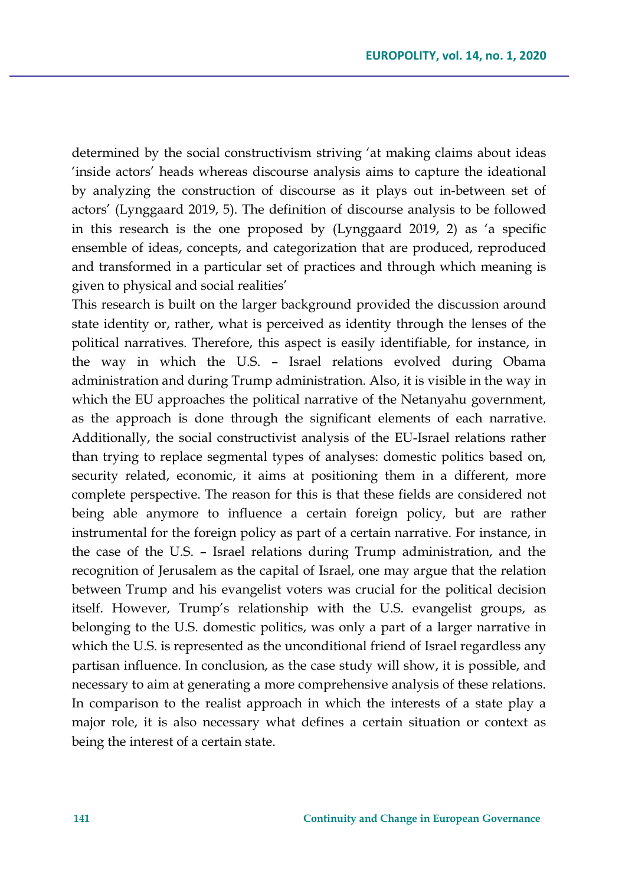determined by the social constructivism striving 'at making claims about ideas 'inside actors' heads whereas discourse analysis aims to capture the ideational by analyzing the construction of discourse as it plays out in-between set of actors' (Lynggaard 2019, 5). The definition of discourse analysis to be followed in this research is the one proposed by (Lynggaard 2019, 2) as 'a specific ensemble of ideas, concepts, and categorization that are produced, reproduced and transformed in a particular set of practices and through which meaning is given to physical and social realities'

This research is built on the larger background provided the discussion around state identity or, rather, what is perceived as identity through the lenses of the political narratives. Therefore, this aspect is easily identifiable, for instance, in the way in which the U.S. – Israel relations evolved during Obama administration and during Trump administration. Also, it is visible in the way in which the EU approaches the political narrative of the Netanyahu government, as the approach is done through the significant elements of each narrative. Additionally, the social constructivist analysis of the EU-Israel relations rather than trying to replace segmental types of analyses: domestic politics based on, security related, economic, it aims at positioning them in a different, more complete perspective. The reason for this is that these fields are considered not being able anymore to influence a certain foreign policy, but are rather instrumental for the foreign policy as part of a certain narrative. For instance, in the case of the U.S. – Israel relations during Trump administration, and the recognition of Jerusalem as the capital of Israel, one may argue that the relation between Trump and his evangelist voters was crucial for the political decision itself. However, Trump's relationship with the U.S. evangelist groups, as belonging to the U.S. domestic politics, was only a part of a larger narrative in which the U.S. is represented as the unconditional friend of Israel regardless any partisan influence. In conclusion, as the case study will show, it is possible, and necessary to aim at generating a more comprehensive analysis of these relations. In comparison to the realist approach in which the interests of a state play a major role, it is also necessary what defines a certain situation or context as being the interest of a certain state.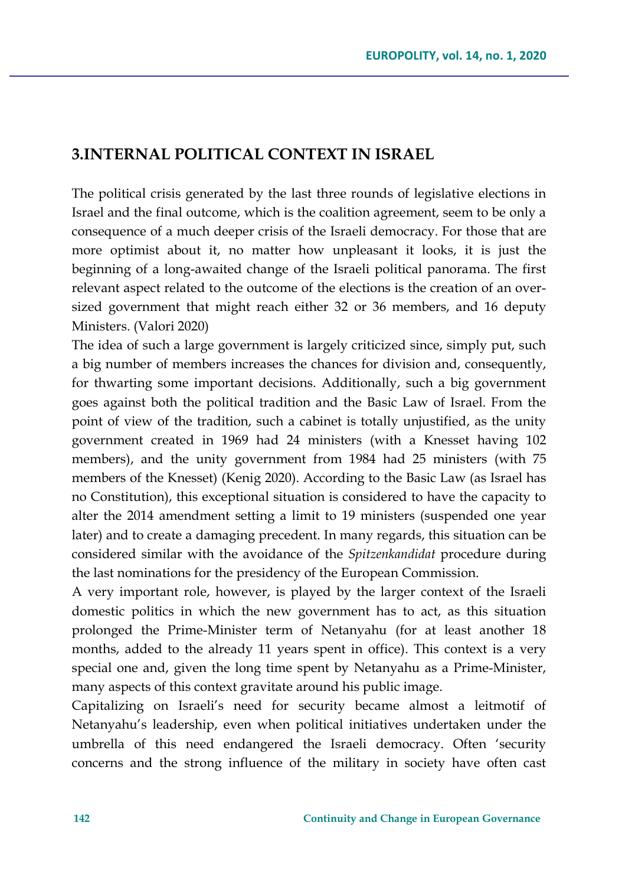## **3.INTERNAL POLITICAL CONTEXT IN ISRAEL**

The political crisis generated by the last three rounds of legislative elections in Israel and the final outcome, which is the coalition agreement, seem to be only a consequence of a much deeper crisis of the Israeli democracy. For those that are more optimist about it, no matter how unpleasant it looks, it is just the beginning of a long-awaited change of the Israeli political panorama. The first relevant aspect related to the outcome of the elections is the creation of an oversized government that might reach either 32 or 36 members, and 16 deputy Ministers. (Valori 2020)

The idea of such a large government is largely criticized since, simply put, such a big number of members increases the chances for division and, consequently, for thwarting some important decisions. Additionally, such a big government goes against both the political tradition and the Basic Law of Israel. From the point of view of the tradition, such a cabinet is totally unjustified, as the unity government created in 1969 had 24 ministers (with a Knesset having 102 members), and the unity government from 1984 had 25 ministers (with 75 members of the Knesset) (Kenig 2020). According to the Basic Law (as Israel has no Constitution), this exceptional situation is considered to have the capacity to alter the 2014 amendment setting a limit to 19 ministers (suspended one year later) and to create a damaging precedent. In many regards, this situation can be considered similar with the avoidance of the *Spitzenkandidat* procedure during the last nominations for the presidency of the European Commission.

A very important role, however, is played by the larger context of the Israeli domestic politics in which the new government has to act, as this situation prolonged the Prime-Minister term of Netanyahu (for at least another 18 months, added to the already 11 years spent in office). This context is a very special one and, given the long time spent by Netanyahu as a Prime-Minister, many aspects of this context gravitate around his public image.

Capitalizing on Israeli's need for security became almost a leitmotif of Netanyahu's leadership, even when political initiatives undertaken under the umbrella of this need endangered the Israeli democracy. Often 'security concerns and the strong influence of the military in society have often cast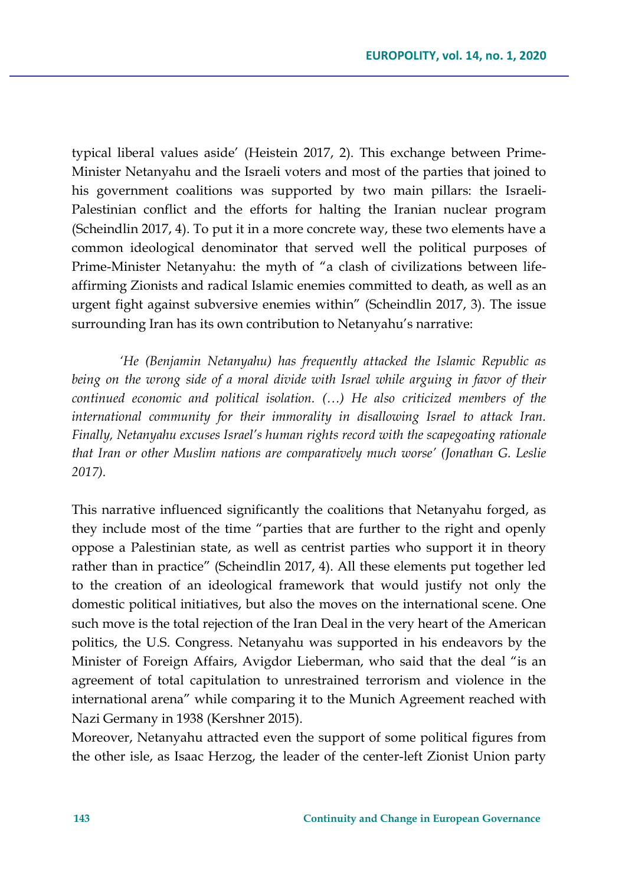typical liberal values aside' (Heistein 2017, 2). This exchange between Prime-Minister Netanyahu and the Israeli voters and most of the parties that joined to his government coalitions was supported by two main pillars: the Israeli-Palestinian conflict and the efforts for halting the Iranian nuclear program (Scheindlin 2017, 4). To put it in a more concrete way, these two elements have a common ideological denominator that served well the political purposes of Prime-Minister Netanyahu: the myth of "a clash of civilizations between lifeaffirming Zionists and radical Islamic enemies committed to death, as well as an urgent fight against subversive enemies within" (Scheindlin 2017, 3). The issue surrounding Iran has its own contribution to Netanyahu's narrative:

*'He (Benjamin Netanyahu) has frequently attacked the Islamic Republic as being on the wrong side of a moral divide with Israel while arguing in favor of their continued economic and political isolation. (…) He also criticized members of the international community for their immorality in disallowing Israel to attack Iran. Finally, Netanyahu excuses Israel's human rights record with the scapegoating rationale that Iran or other Muslim nations are comparatively much worse' (Jonathan G. Leslie 2017).*

This narrative influenced significantly the coalitions that Netanyahu forged, as they include most of the time "parties that are further to the right and openly oppose a Palestinian state, as well as centrist parties who support it in theory rather than in practice" (Scheindlin 2017, 4). All these elements put together led to the creation of an ideological framework that would justify not only the domestic political initiatives, but also the moves on the international scene. One such move is the total rejection of the Iran Deal in the very heart of the American politics, the U.S. Congress. Netanyahu was supported in his endeavors by the Minister of Foreign Affairs, Avigdor Lieberman, who said that the deal "is an agreement of total capitulation to unrestrained terrorism and violence in the international arena" while comparing it to the Munich Agreement reached with Nazi Germany in 1938 (Kershner 2015).

Moreover, Netanyahu attracted even the support of some political figures from the other isle, as Isaac Herzog, the leader of the center-left Zionist Union party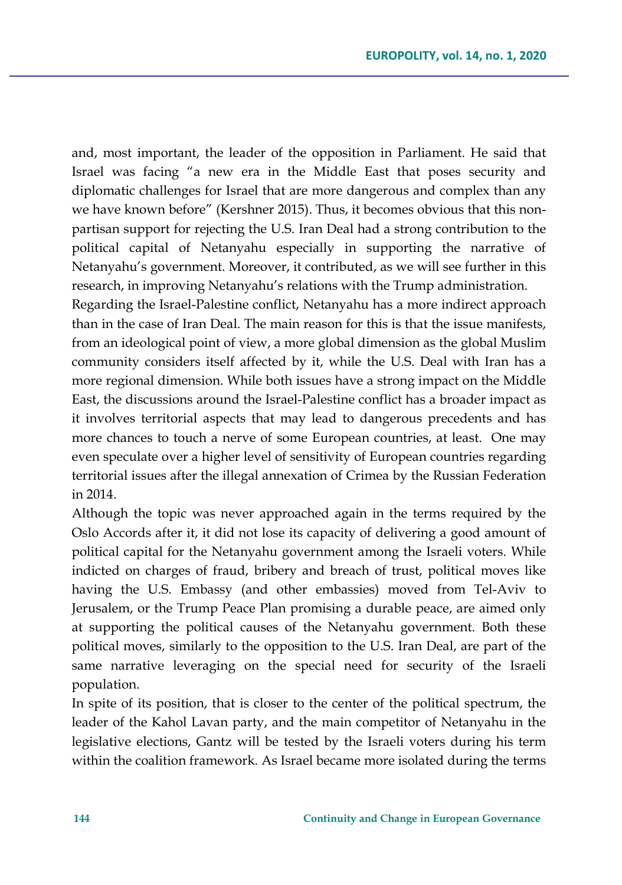and, most important, the leader of the opposition in Parliament. He said that Israel was facing "a new era in the Middle East that poses security and diplomatic challenges for Israel that are more dangerous and complex than any we have known before" (Kershner 2015). Thus, it becomes obvious that this nonpartisan support for rejecting the U.S. Iran Deal had a strong contribution to the political capital of Netanyahu especially in supporting the narrative of Netanyahu's government. Moreover, it contributed, as we will see further in this research, in improving Netanyahu's relations with the Trump administration.

Regarding the Israel-Palestine conflict, Netanyahu has a more indirect approach than in the case of Iran Deal. The main reason for this is that the issue manifests, from an ideological point of view, a more global dimension as the global Muslim community considers itself affected by it, while the U.S. Deal with Iran has a more regional dimension. While both issues have a strong impact on the Middle East, the discussions around the Israel-Palestine conflict has a broader impact as it involves territorial aspects that may lead to dangerous precedents and has more chances to touch a nerve of some European countries, at least. One may even speculate over a higher level of sensitivity of European countries regarding territorial issues after the illegal annexation of Crimea by the Russian Federation in 2014.

Although the topic was never approached again in the terms required by the Oslo Accords after it, it did not lose its capacity of delivering a good amount of political capital for the Netanyahu government among the Israeli voters. While indicted on charges of fraud, bribery and breach of trust, political moves like having the U.S. Embassy (and other embassies) moved from Tel-Aviv to Jerusalem, or the Trump Peace Plan promising a durable peace, are aimed only at supporting the political causes of the Netanyahu government. Both these political moves, similarly to the opposition to the U.S. Iran Deal, are part of the same narrative leveraging on the special need for security of the Israeli population.

In spite of its position, that is closer to the center of the political spectrum, the leader of the Kahol Lavan party, and the main competitor of Netanyahu in the legislative elections, Gantz will be tested by the Israeli voters during his term within the coalition framework. As Israel became more isolated during the terms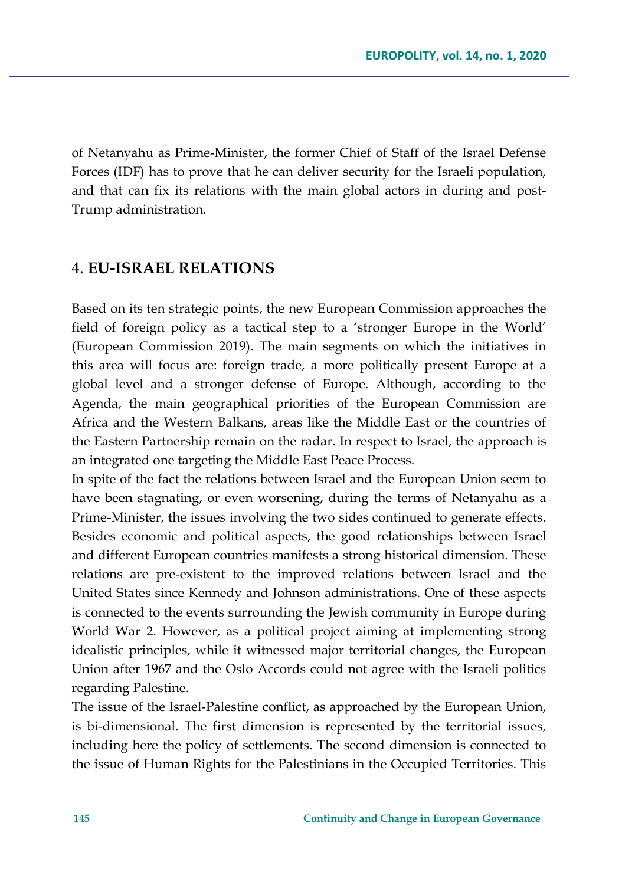of Netanyahu as Prime-Minister, the former Chief of Staff of the Israel Defense Forces (IDF) has to prove that he can deliver security for the Israeli population, and that can fix its relations with the main global actors in during and post-Trump administration.

#### 4. **EU-ISRAEL RELATIONS**

Based on its ten strategic points, the new European Commission approaches the field of foreign policy as a tactical step to a 'stronger Europe in the World' (European Commission 2019). The main segments on which the initiatives in this area will focus are: foreign trade, a more politically present Europe at a global level and a stronger defense of Europe. Although, according to the Agenda, the main geographical priorities of the European Commission are Africa and the Western Balkans, areas like the Middle East or the countries of the Eastern Partnership remain on the radar. In respect to Israel, the approach is an integrated one targeting the Middle East Peace Process.

In spite of the fact the relations between Israel and the European Union seem to have been stagnating, or even worsening, during the terms of Netanyahu as a Prime-Minister, the issues involving the two sides continued to generate effects. Besides economic and political aspects, the good relationships between Israel and different European countries manifests a strong historical dimension. These relations are pre-existent to the improved relations between Israel and the United States since Kennedy and Johnson administrations. One of these aspects is connected to the events surrounding the Jewish community in Europe during World War 2. However, as a political project aiming at implementing strong idealistic principles, while it witnessed major territorial changes, the European Union after 1967 and the Oslo Accords could not agree with the Israeli politics regarding Palestine.

The issue of the Israel-Palestine conflict, as approached by the European Union, is bi-dimensional. The first dimension is represented by the territorial issues, including here the policy of settlements. The second dimension is connected to the issue of Human Rights for the Palestinians in the Occupied Territories. This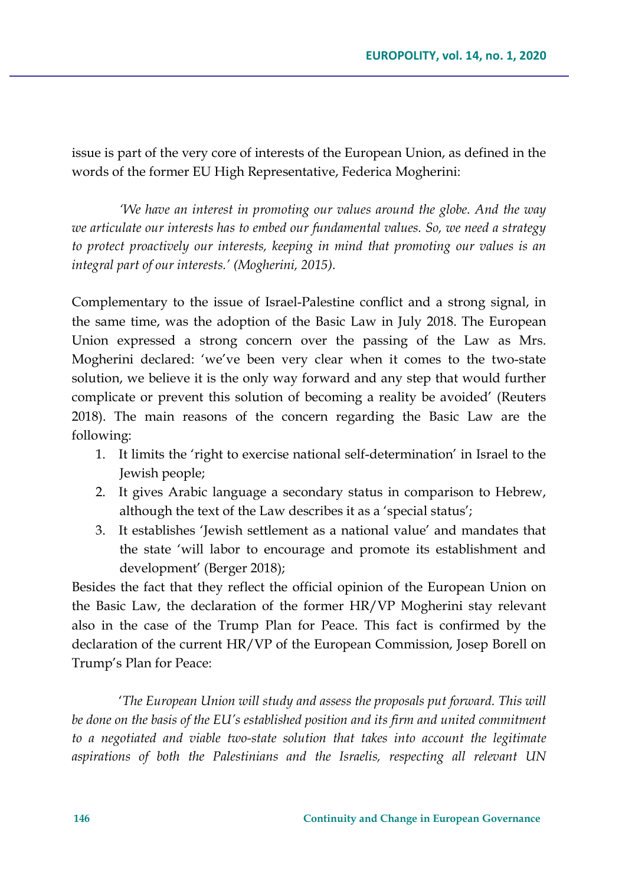issue is part of the very core of interests of the European Union, as defined in the words of the former EU High Representative, Federica Mogherini:

*'We have an interest in promoting our values around the globe. And the way we articulate our interests has to embed our fundamental values. So, we need a strategy to protect proactively our interests, keeping in mind that promoting our values is an integral part of our interests.' (Mogherini, 2015).*

Complementary to the issue of Israel-Palestine conflict and a strong signal, in the same time, was the adoption of the Basic Law in July 2018. The European Union expressed a strong concern over the passing of the Law as Mrs. Mogherini declared: 'we've been very clear when it comes to the two-state solution, we believe it is the only way forward and any step that would further complicate or prevent this solution of becoming a reality be avoided' (Reuters 2018). The main reasons of the concern regarding the Basic Law are the following:

- 1. It limits the 'right to exercise national self-determination' in Israel to the Jewish people;
- 2. It gives Arabic language a secondary status in comparison to Hebrew, although the text of the Law describes it as a 'special status';
- 3. It establishes 'Jewish settlement as a national value' and mandates that the state 'will labor to encourage and promote its establishment and development' (Berger 2018);

Besides the fact that they reflect the official opinion of the European Union on the Basic Law, the declaration of the former HR/VP Mogherini stay relevant also in the case of the Trump Plan for Peace. This fact is confirmed by the declaration of the current HR/VP of the European Commission, Josep Borell on Trump's Plan for Peace:

'*The European Union will study and assess the proposals put forward. This will be done on the basis of the EU's established position and its firm and united commitment to a negotiated and viable two-state solution that takes into account the legitimate aspirations of both the Palestinians and the Israelis, respecting all relevant UN*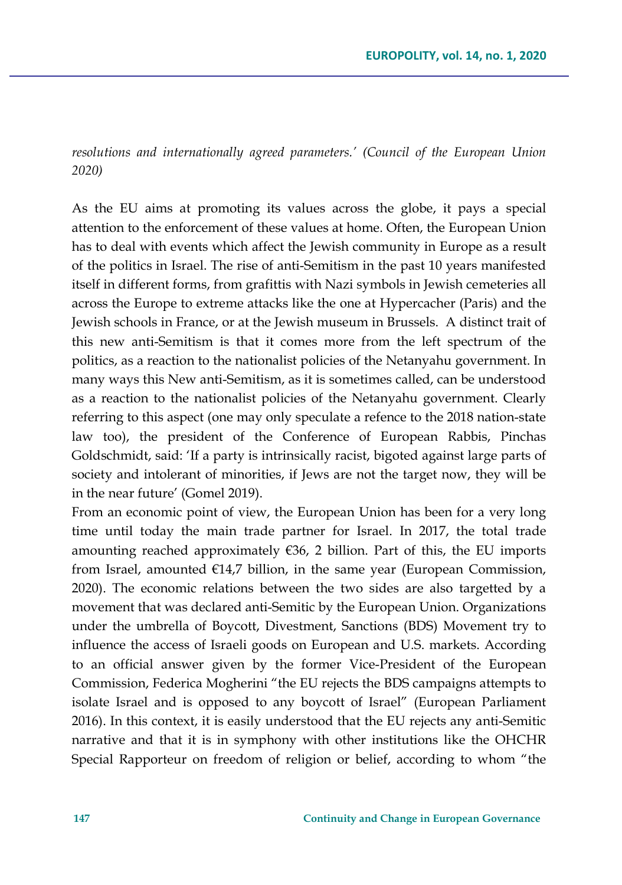*resolutions and internationally agreed parameters.' (Council of the European Union 2020)*

As the EU aims at promoting its values across the globe, it pays a special attention to the enforcement of these values at home. Often, the European Union has to deal with events which affect the Jewish community in Europe as a result of the politics in Israel. The rise of anti-Semitism in the past 10 years manifested itself in different forms, from grafittis with Nazi symbols in Jewish cemeteries all across the Europe to extreme attacks like the one at Hypercacher (Paris) and the Jewish schools in France, or at the Jewish museum in Brussels. A distinct trait of this new anti-Semitism is that it comes more from the left spectrum of the politics, as a reaction to the nationalist policies of the Netanyahu government. In many ways this New anti-Semitism, as it is sometimes called, can be understood as a reaction to the nationalist policies of the Netanyahu government. Clearly referring to this aspect (one may only speculate a refence to the 2018 nation-state law too), the president of the Conference of European Rabbis, Pinchas Goldschmidt, said: 'If a party is intrinsically racist, bigoted against large parts of society and intolerant of minorities, if Jews are not the target now, they will be in the near future' (Gomel 2019).

From an economic point of view, the European Union has been for a very long time until today the main trade partner for Israel. In 2017, the total trade amounting reached approximately  $\epsilon$ 36, 2 billion. Part of this, the EU imports from Israel, amounted  $E14,7$  billion, in the same year (European Commission, 2020). The economic relations between the two sides are also targetted by a movement that was declared anti-Semitic by the European Union. Organizations under the umbrella of Boycott, Divestment, Sanctions (BDS) Movement try to influence the access of Israeli goods on European and U.S. markets. According to an official answer given by the former Vice-President of the European Commission, Federica Mogherini "the EU rejects the BDS campaigns attempts to isolate Israel and is opposed to any boycott of Israel" (European Parliament 2016). In this context, it is easily understood that the EU rejects any anti-Semitic narrative and that it is in symphony with other institutions like the OHCHR Special Rapporteur on freedom of religion or belief, according to whom "the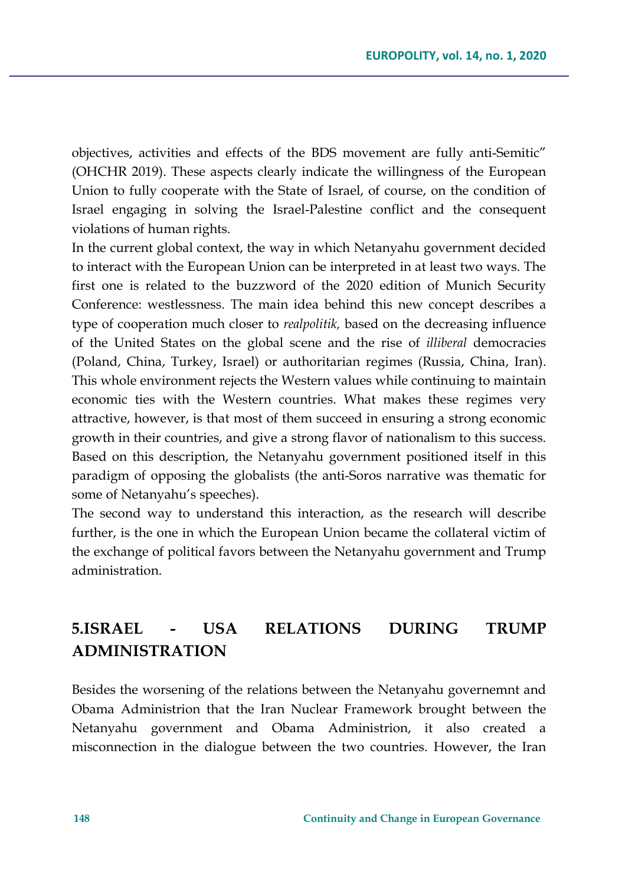objectives, activities and effects of the BDS movement are fully anti-Semitic" (OHCHR 2019). These aspects clearly indicate the willingness of the European Union to fully cooperate with the State of Israel, of course, on the condition of Israel engaging in solving the Israel-Palestine conflict and the consequent violations of human rights.

In the current global context, the way in which Netanyahu government decided to interact with the European Union can be interpreted in at least two ways. The first one is related to the buzzword of the 2020 edition of Munich Security Conference: westlessness. The main idea behind this new concept describes a type of cooperation much closer to *realpolitik,* based on the decreasing influence of the United States on the global scene and the rise of *illiberal* democracies (Poland, China, Turkey, Israel) or authoritarian regimes (Russia, China, Iran). This whole environment rejects the Western values while continuing to maintain economic ties with the Western countries. What makes these regimes very attractive, however, is that most of them succeed in ensuring a strong economic growth in their countries, and give a strong flavor of nationalism to this success. Based on this description, the Netanyahu government positioned itself in this paradigm of opposing the globalists (the anti-Soros narrative was thematic for some of Netanyahu's speeches).

The second way to understand this interaction, as the research will describe further, is the one in which the European Union became the collateral victim of the exchange of political favors between the Netanyahu government and Trump administration.

# **5.ISRAEL - USA RELATIONS DURING TRUMP ADMINISTRATION**

Besides the worsening of the relations between the Netanyahu governemnt and Obama Administrion that the Iran Nuclear Framework brought between the Netanyahu government and Obama Administrion, it also created a misconnection in the dialogue between the two countries. However, the Iran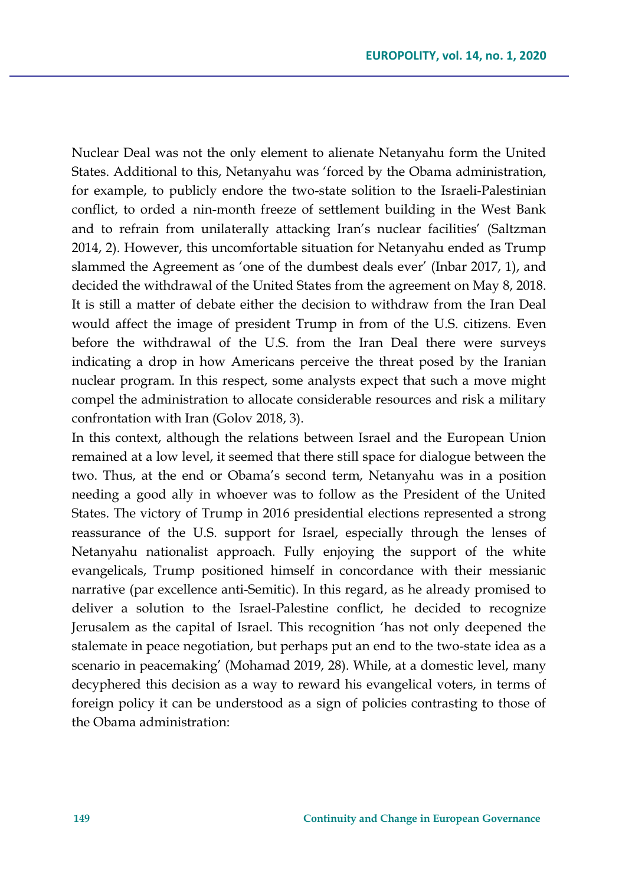Nuclear Deal was not the only element to alienate Netanyahu form the United States. Additional to this, Netanyahu was 'forced by the Obama administration, for example, to publicly endore the two-state solition to the Israeli-Palestinian conflict, to orded a nin-month freeze of settlement building in the West Bank and to refrain from unilaterally attacking Iran's nuclear facilities' (Saltzman 2014, 2). However, this uncomfortable situation for Netanyahu ended as Trump slammed the Agreement as 'one of the dumbest deals ever' (Inbar 2017, 1), and decided the withdrawal of the United States from the agreement on May 8, 2018. It is still a matter of debate either the decision to withdraw from the Iran Deal would affect the image of president Trump in from of the U.S. citizens. Even before the withdrawal of the U.S. from the Iran Deal there were surveys indicating a drop in how Americans perceive the threat posed by the Iranian nuclear program. In this respect, some analysts expect that such a move might compel the administration to allocate considerable resources and risk a military confrontation with Iran (Golov 2018, 3).

In this context, although the relations between Israel and the European Union remained at a low level, it seemed that there still space for dialogue between the two. Thus, at the end or Obama's second term, Netanyahu was in a position needing a good ally in whoever was to follow as the President of the United States. The victory of Trump in 2016 presidential elections represented a strong reassurance of the U.S. support for Israel, especially through the lenses of Netanyahu nationalist approach. Fully enjoying the support of the white evangelicals, Trump positioned himself in concordance with their messianic narrative (par excellence anti-Semitic). In this regard, as he already promised to deliver a solution to the Israel-Palestine conflict, he decided to recognize Jerusalem as the capital of Israel. This recognition 'has not only deepened the stalemate in peace negotiation, but perhaps put an end to the two-state idea as a scenario in peacemaking' (Mohamad 2019, 28). While, at a domestic level, many decyphered this decision as a way to reward his evangelical voters, in terms of foreign policy it can be understood as a sign of policies contrasting to those of the Obama administration: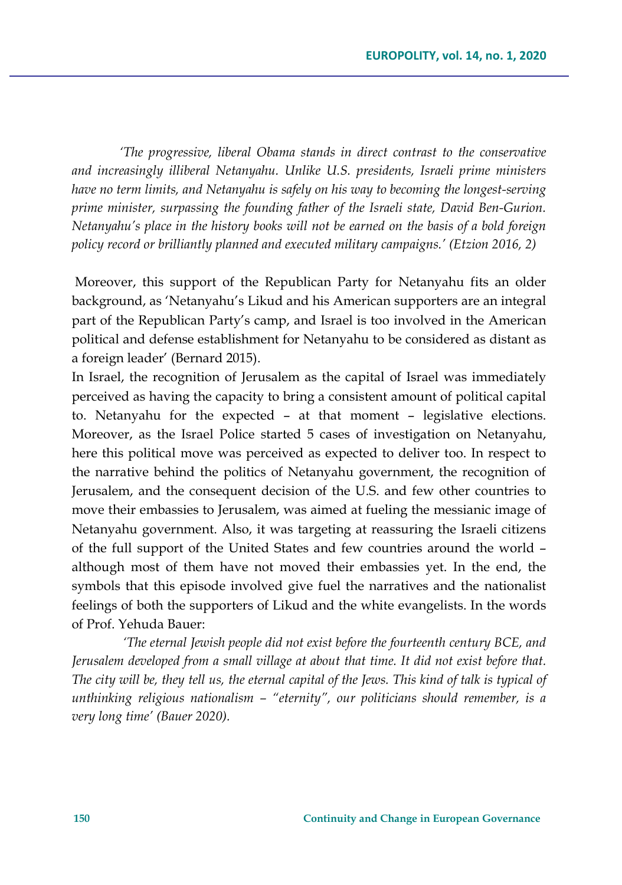*'The progressive, liberal Obama stands in direct contrast to the conservative and increasingly illiberal Netanyahu. Unlike U.S. presidents, Israeli prime ministers have no term limits, and Netanyahu is safely on his way to becoming the longest-serving prime minister, surpassing the founding father of the Israeli state, David Ben-Gurion. Netanyahu's place in the history books will not be earned on the basis of a bold foreign policy record or brilliantly planned and executed military campaigns.' (Etzion 2016, 2)*

Moreover, this support of the Republican Party for Netanyahu fits an older background, as 'Netanyahu's Likud and his American supporters are an integral part of the Republican Party's camp, and Israel is too involved in the American political and defense establishment for Netanyahu to be considered as distant as a foreign leader' (Bernard 2015).

In Israel, the recognition of Jerusalem as the capital of Israel was immediately perceived as having the capacity to bring a consistent amount of political capital to. Netanyahu for the expected – at that moment – legislative elections. Moreover, as the Israel Police started 5 cases of investigation on Netanyahu, here this political move was perceived as expected to deliver too. In respect to the narrative behind the politics of Netanyahu government, the recognition of Jerusalem, and the consequent decision of the U.S. and few other countries to move their embassies to Jerusalem, was aimed at fueling the messianic image of Netanyahu government. Also, it was targeting at reassuring the Israeli citizens of the full support of the United States and few countries around the world – although most of them have not moved their embassies yet. In the end, the symbols that this episode involved give fuel the narratives and the nationalist feelings of both the supporters of Likud and the white evangelists. In the words of Prof. Yehuda Bauer:

*'The eternal Jewish people did not exist before the fourteenth century BCE, and Jerusalem developed from a small village at about that time. It did not exist before that. The city will be, they tell us, the eternal capital of the Jews. This kind of talk is typical of unthinking religious nationalism – "eternity", our politicians should remember, is a very long time' (Bauer 2020).*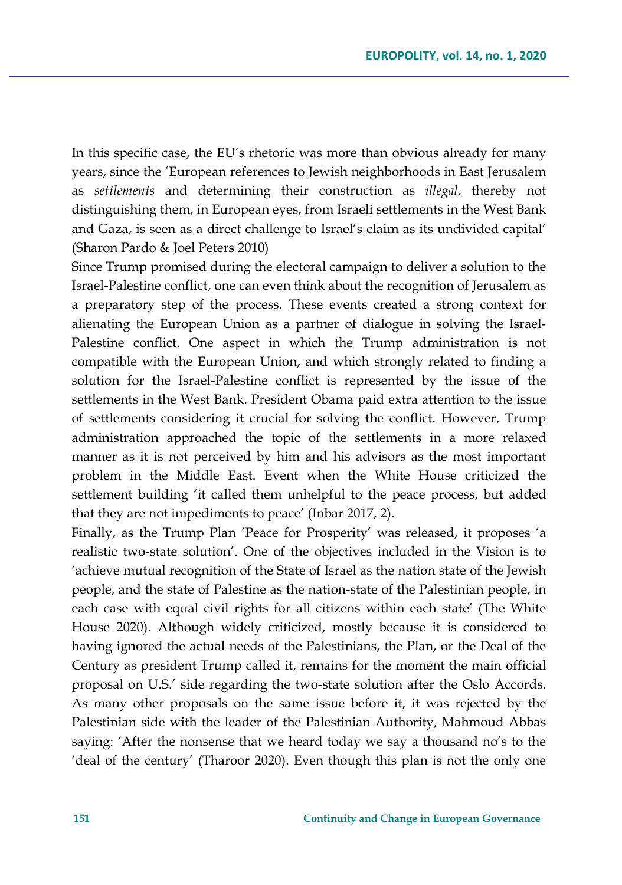In this specific case, the EU's rhetoric was more than obvious already for many years, since the 'European references to Jewish neighborhoods in East Jerusalem as *settlements* and determining their construction as *illegal*, thereby not distinguishing them, in European eyes, from Israeli settlements in the West Bank and Gaza, is seen as a direct challenge to Israel's claim as its undivided capital' (Sharon Pardo & Joel Peters 2010)

Since Trump promised during the electoral campaign to deliver a solution to the Israel-Palestine conflict, one can even think about the recognition of Jerusalem as a preparatory step of the process. These events created a strong context for alienating the European Union as a partner of dialogue in solving the Israel-Palestine conflict. One aspect in which the Trump administration is not compatible with the European Union, and which strongly related to finding a solution for the Israel-Palestine conflict is represented by the issue of the settlements in the West Bank. President Obama paid extra attention to the issue of settlements considering it crucial for solving the conflict. However, Trump administration approached the topic of the settlements in a more relaxed manner as it is not perceived by him and his advisors as the most important problem in the Middle East. Event when the White House criticized the settlement building 'it called them unhelpful to the peace process, but added that they are not impediments to peace' (Inbar 2017, 2).

Finally, as the Trump Plan 'Peace for Prosperity' was released, it proposes 'a realistic two-state solution'. One of the objectives included in the Vision is to 'achieve mutual recognition of the State of Israel as the nation state of the Jewish people, and the state of Palestine as the nation-state of the Palestinian people, in each case with equal civil rights for all citizens within each state' (The White House 2020). Although widely criticized, mostly because it is considered to having ignored the actual needs of the Palestinians, the Plan, or the Deal of the Century as president Trump called it, remains for the moment the main official proposal on U.S.' side regarding the two-state solution after the Oslo Accords. As many other proposals on the same issue before it, it was rejected by the Palestinian side with the leader of the Palestinian Authority, Mahmoud Abbas saying: 'After the nonsense that we heard today we say a thousand no's to the 'deal of the century' (Tharoor 2020). Even though this plan is not the only one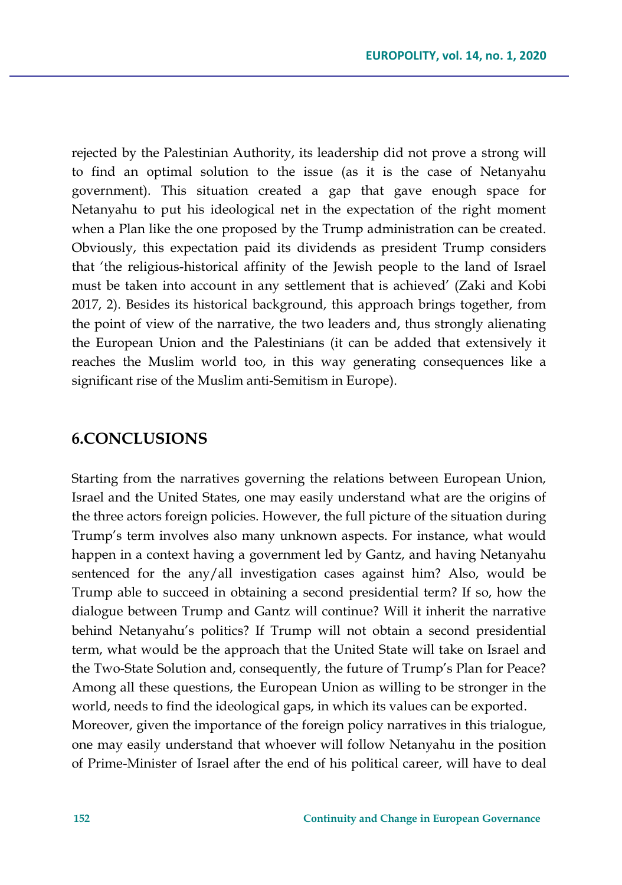rejected by the Palestinian Authority, its leadership did not prove a strong will to find an optimal solution to the issue (as it is the case of Netanyahu government). This situation created a gap that gave enough space for Netanyahu to put his ideological net in the expectation of the right moment when a Plan like the one proposed by the Trump administration can be created. Obviously, this expectation paid its dividends as president Trump considers that 'the religious-historical affinity of the Jewish people to the land of Israel must be taken into account in any settlement that is achieved' (Zaki and Kobi 2017, 2). Besides its historical background, this approach brings together, from the point of view of the narrative, the two leaders and, thus strongly alienating the European Union and the Palestinians (it can be added that extensively it reaches the Muslim world too, in this way generating consequences like a significant rise of the Muslim anti-Semitism in Europe).

#### **6.CONCLUSIONS**

Starting from the narratives governing the relations between European Union, Israel and the United States, one may easily understand what are the origins of the three actors foreign policies. However, the full picture of the situation during Trump's term involves also many unknown aspects. For instance, what would happen in a context having a government led by Gantz, and having Netanyahu sentenced for the any/all investigation cases against him? Also, would be Trump able to succeed in obtaining a second presidential term? If so, how the dialogue between Trump and Gantz will continue? Will it inherit the narrative behind Netanyahu's politics? If Trump will not obtain a second presidential term, what would be the approach that the United State will take on Israel and the Two-State Solution and, consequently, the future of Trump's Plan for Peace? Among all these questions, the European Union as willing to be stronger in the world, needs to find the ideological gaps, in which its values can be exported. Moreover, given the importance of the foreign policy narratives in this trialogue, one may easily understand that whoever will follow Netanyahu in the position of Prime-Minister of Israel after the end of his political career, will have to deal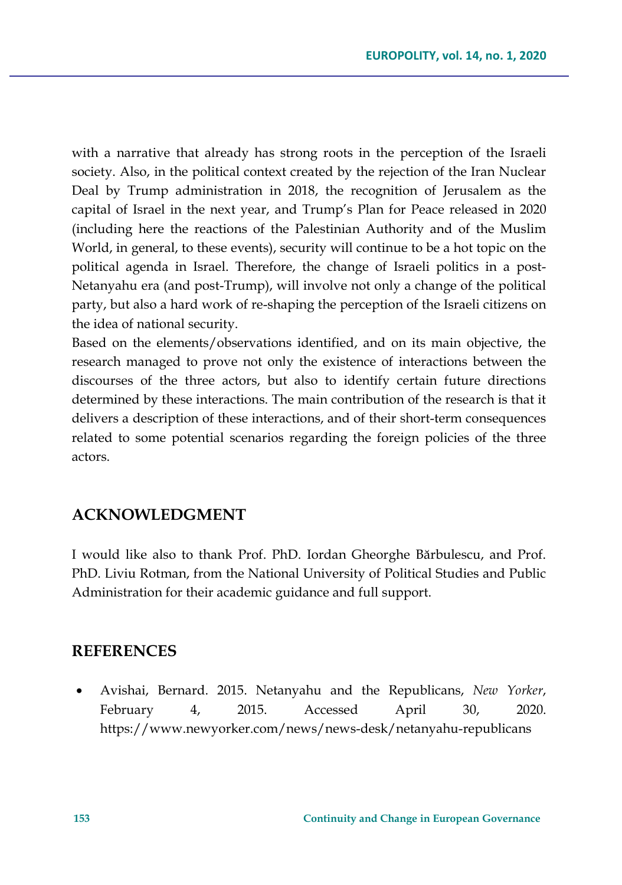with a narrative that already has strong roots in the perception of the Israeli society. Also, in the political context created by the rejection of the Iran Nuclear Deal by Trump administration in 2018, the recognition of Jerusalem as the capital of Israel in the next year, and Trump's Plan for Peace released in 2020 (including here the reactions of the Palestinian Authority and of the Muslim World, in general, to these events), security will continue to be a hot topic on the political agenda in Israel. Therefore, the change of Israeli politics in a post-Netanyahu era (and post-Trump), will involve not only a change of the political party, but also a hard work of re-shaping the perception of the Israeli citizens on the idea of national security.

Based on the elements/observations identified, and on its main objective, the research managed to prove not only the existence of interactions between the discourses of the three actors, but also to identify certain future directions determined by these interactions. The main contribution of the research is that it delivers a description of these interactions, and of their short-term consequences related to some potential scenarios regarding the foreign policies of the three actors.

#### **ACKNOWLEDGMENT**

I would like also to thank Prof. PhD. Iordan Gheorghe Bărbulescu, and Prof. PhD. Liviu Rotman, from the National University of Political Studies and Public Administration for their academic guidance and full support.

#### **REFERENCES**

• Avishai, Bernard. 2015. Netanyahu and the Republicans, *New Yorker*, February 4, 2015. Accessed April 30, 2020. https://www.newyorker.com/news/news-desk/netanyahu-republicans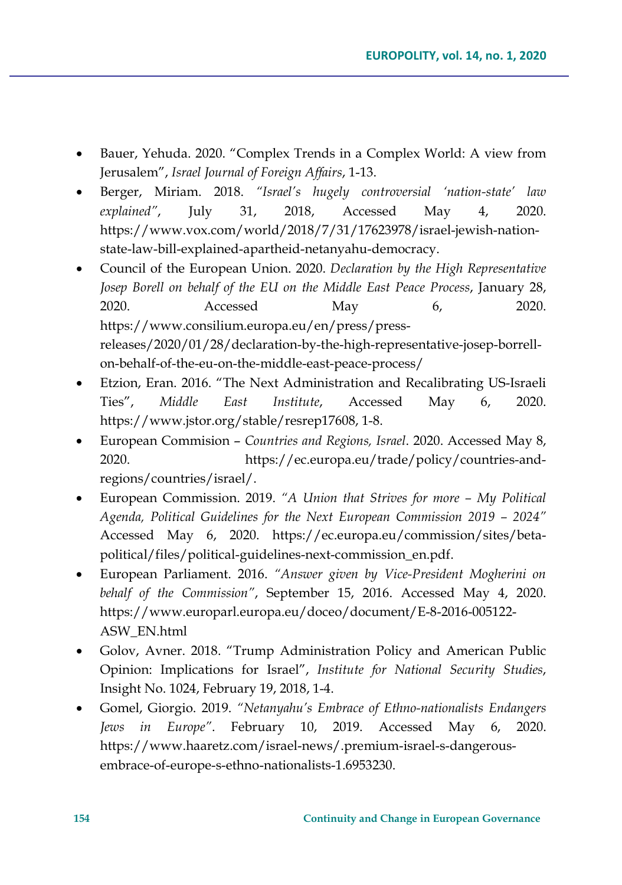- Bauer, Yehuda. 2020. "Complex Trends in a Complex World: A view from Jerusalem", *Israel Journal of Foreign Affairs*, 1-13.
- Berger, Miriam. 2018. *"Israel's hugely controversial 'nation-state' law explained"*, July 31, 2018, Accessed May 4, 2020. https://www.vox.com/world/2018/7/31/17623978/israel-jewish-nationstate-law-bill-explained-apartheid-netanyahu-democracy.
- Council of the European Union. 2020. *Declaration by the High Representative Josep Borell on behalf of the EU on the Middle East Peace Process*, January 28, 2020. Accessed May 6, 2020. https://www.consilium.europa.eu/en/press/pressreleases/2020/01/28/declaration-by-the-high-representative-josep-borrellon-behalf-of-the-eu-on-the-middle-east-peace-process/
- Etzion, Eran. 2016. "The Next Administration and Recalibrating US-Israeli Ties", *Middle East Institute*, Accessed May 6, 2020. https://www.jstor.org/stable/resrep17608, 1-8.
- European Commision *Countries and Regions, Israel*. 2020. Accessed May 8, 2020. https://ec.europa.eu/trade/policy/countries-andregions/countries/israel/.
- European Commission. 2019. *"A Union that Strives for more – My Political Agenda, Political Guidelines for the Next European Commission 2019 – 2024"* Accessed May 6, 2020. https://ec.europa.eu/commission/sites/betapolitical/files/political-guidelines-next-commission\_en.pdf.
- European Parliament. 2016. *"Answer given by Vice-President Mogherini on behalf of the Commission"*, September 15, 2016. Accessed May 4, 2020. https://www.europarl.europa.eu/doceo/document/E-8-2016-005122- ASW\_EN.html
- Golov, Avner. 2018. "Trump Administration Policy and American Public Opinion: Implications for Israel", *Institute for National Security Studies*, Insight No. 1024, February 19, 2018, 1-4.
- Gomel, Giorgio. 2019. *"Netanyahu's Embrace of Ethno-nationalists Endangers Jews in Europe"*. February 10, 2019. Accessed May 6, 2020. https://www.haaretz.com/israel-news/.premium-israel-s-dangerousembrace-of-europe-s-ethno-nationalists-1.6953230.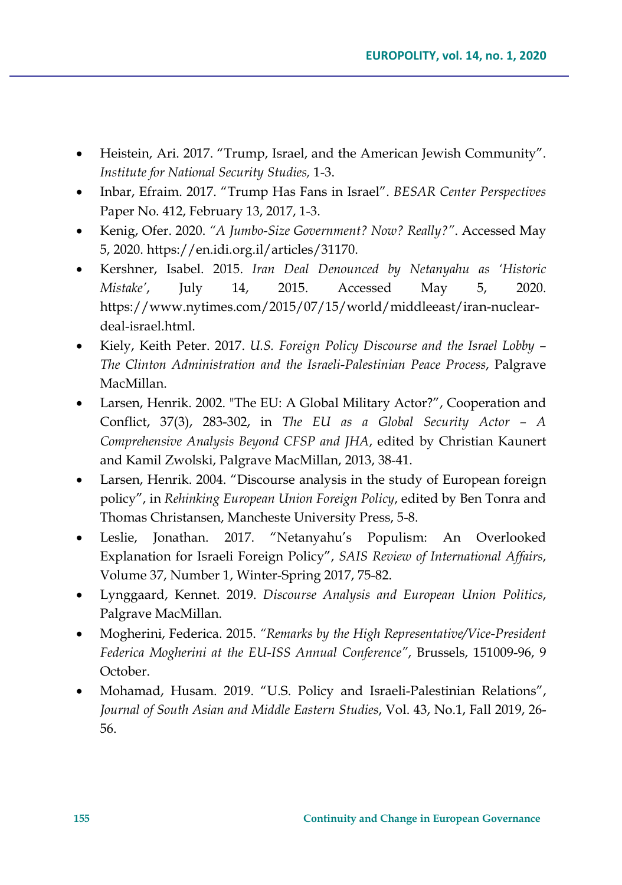- Heistein, Ari. 2017. "Trump, Israel, and the American Jewish Community". *Institute for National Security Studies,* 1-3.
- Inbar, Efraim. 2017. "Trump Has Fans in Israel". *BESAR Center Perspectives*  Paper No. 412, February 13, 2017, 1-3.
- Kenig, Ofer. 2020. *"A Jumbo-Size Government? Now? Really?"*. Accessed May 5, 2020. https://en.idi.org.il/articles/31170.
- Kershner, Isabel. 2015. *Iran Deal Denounced by Netanyahu as 'Historic Mistake'*, July 14, 2015. Accessed May 5, 2020. https://www.nytimes.com/2015/07/15/world/middleeast/iran-nucleardeal-israel.html.
- Kiely, Keith Peter. 2017. *U.S. Foreign Policy Discourse and the Israel Lobby – The Clinton Administration and the Israeli-Palestinian Peace Process*, Palgrave MacMillan.
- Larsen, Henrik. 2002. "The EU: A Global Military Actor?", Cooperation and Conflict, 37(3), 283-302, in *The EU as a Global Security Actor – A Comprehensive Analysis Beyond CFSP and JHA*, edited by Christian Kaunert and Kamil Zwolski, Palgrave MacMillan, 2013, 38-41.
- Larsen, Henrik. 2004. "Discourse analysis in the study of European foreign policy", in *Rehinking European Union Foreign Policy*, edited by Ben Tonra and Thomas Christansen, Mancheste University Press, 5-8.
- Leslie, Jonathan. 2017. "Netanyahu's Populism: An Overlooked Explanation for Israeli Foreign Policy", *SAIS Review of International Affairs*, Volume 37, Number 1, Winter-Spring 2017, 75-82.
- Lynggaard, Kennet. 2019. *Discourse Analysis and European Union Politics*, Palgrave MacMillan.
- Mogherini, Federica. 2015. *"Remarks by the High Representative/Vice-President Federica Mogherini at the EU-ISS Annual Conference"*, Brussels, 151009-96, 9 October.
- Mohamad, Husam. 2019. "U.S. Policy and Israeli-Palestinian Relations", *Journal of South Asian and Middle Eastern Studies*, Vol. 43, No.1, Fall 2019, 26- 56.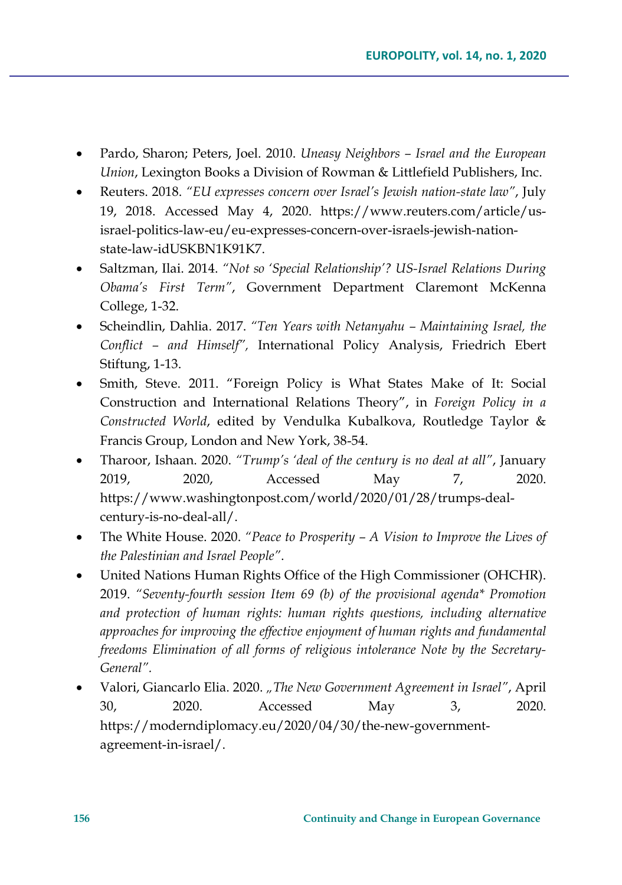- Pardo, Sharon; Peters, Joel. 2010. *Uneasy Neighbors – Israel and the European Union*, Lexington Books a Division of Rowman & Littlefield Publishers, Inc.
- Reuters. 2018. *"EU expresses concern over Israel's Jewish nation-state law"*, July 19, 2018. Accessed May 4, 2020. [https://www.reuters.com/article/us](https://www.reuters.com/article/us-israel-politics-law-eu/eu-expresses-concern-over-israels-jewish-nation-state-law-idUSKBN1K91K7)israel-politics-law-eu/eu-[expresses](https://www.reuters.com/article/us-israel-politics-law-eu/eu-expresses-concern-over-israels-jewish-nation-state-law-idUSKBN1K91K7)-concern-over-israels-jewish-nationstate-law-[idUSKBN1K91K7](https://www.reuters.com/article/us-israel-politics-law-eu/eu-expresses-concern-over-israels-jewish-nation-state-law-idUSKBN1K91K7).
- Saltzman, Ilai. 2014. *"Not so 'Special Relationship'? US-Israel Relations During Obama's First Term"*, Government Department Claremont McKenna College, 1-32.
- Scheindlin, Dahlia. 2017. *"Ten Years with Netanyahu – Maintaining Israel, the Conflict – and Himself",* International Policy Analysis, Friedrich Ebert Stiftung, 1-13.
- Smith, Steve. 2011. "Foreign Policy is What States Make of It: Social Construction and International Relations Theory", in *Foreign Policy in a Constructed World*, edited by Vendulka Kubalkova, Routledge Taylor & Francis Group, London and New York, 38-54.
- Tharoor, Ishaan. 2020. *"Trump's 'deal of the century is no deal at all"*, January 2019, 2020, Accessed May 7, 2020. https://www.washingtonpost.com/world/2020/01/28/trumps-dealcentury-is-no-deal-all/.
- The White House. 2020. *"Peace to Prosperity – A Vision to Improve the Lives of the Palestinian and Israel People"*.
- United Nations Human Rights Office of the High Commissioner (OHCHR). 2019. *"Seventy-fourth session Item 69 (b) of the provisional agenda\* Promotion and protection of human rights: human rights questions, including alternative approaches for improving the effective enjoyment of human rights and fundamental freedoms Elimination of all forms of religious intolerance Note by the Secretary-General".*
- Valori, Giancarlo Elia. 2020. *"The New Government Agreement in Israel"*, April 30, 2020. Accessed May 3, 2020. https://moderndiplomacy.eu/2020/04/30/the-new-governmentagreement-in-israel/.